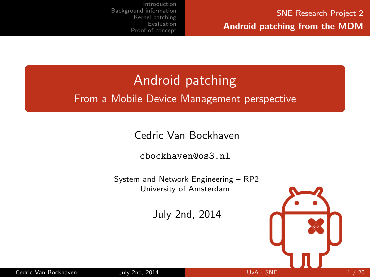# Android patching

#### From a Mobile Device Management perspective

Cedric Van Bockhaven

<cbockhaven@os3.nl>

System and Network Engineering – RP2 University of Amsterdam

July 2nd, 2014

<span id="page-0-0"></span>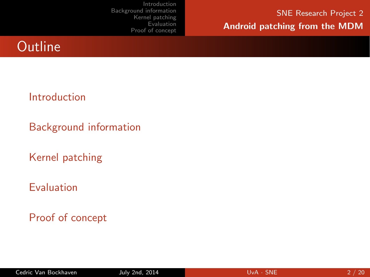SNE Research Project 2 Android patching from the MDM

### **Outline**

#### [Introduction](#page-2-0)

[Background information](#page-6-0)

[Kernel patching](#page-9-0)

#### [Evaluation](#page-14-0)

[Proof of concept](#page-16-0)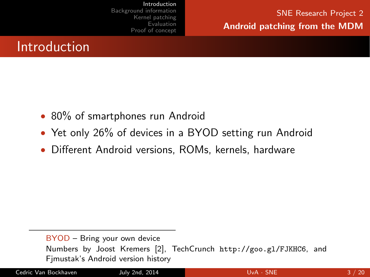<span id="page-2-0"></span>SNE Research Project 2 Android patching from the MDM

### Introduction

- 80% of smartphones run Android
- Yet only 26% of devices in a BYOD setting run Android
- Different Android versions, ROMs, kernels, hardware

BYOD – Bring your own device Numbers by Joost Kremers [\[2\]](#page-17-0), TechCrunch <http://goo.gl/FJKHC6>, and Fjmustak's Android version history

Cedric Van Bockhaven July 2nd, 2014 UvA · [SNE](#page-0-0) 3 / 20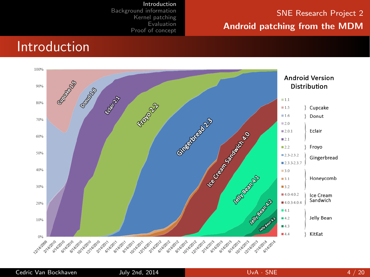#### SNE Research Project 2 Android patching from the MDM

#### **Introduction**



[Introduction](#page-2-0) [Background information](#page-6-0) [Kernel patching](#page-9-0) [Evaluation](#page-14-0) [Proof of concept](#page-16-0)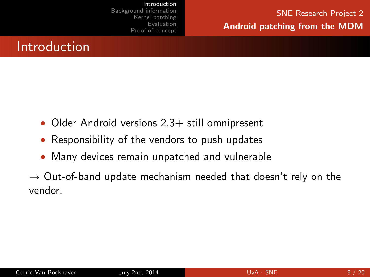### Introduction

- Older Android versions 2.3+ still omnipresent
- Responsibility of the vendors to push updates
- Many devices remain unpatched and vulnerable

 $\rightarrow$  Out-of-band update mechanism needed that doesn't rely on the vendor.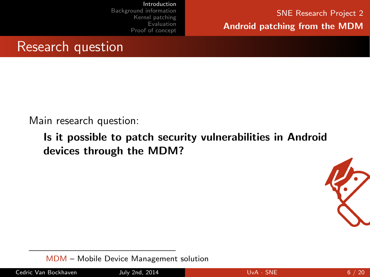SNE Research Project 2 Android patching from the MDM

#### Research question

Main research question:

Is it possible to patch security vulnerabilities in Android devices through the MDM?



MDM – Mobile Device Management solution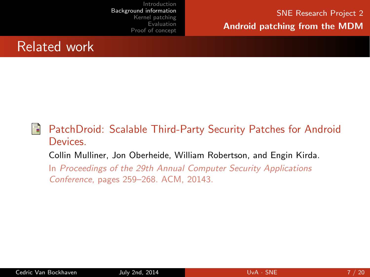#### Related work

#### F PatchDroid: Scalable Third-Party Security Patches for Android Devices. Collin Mulliner, Jon Oberheide, William Robertson, and Engin Kirda. In Proceedings of the 29th Annual Computer Security Applications

<span id="page-6-0"></span>Conference, pages 259–268. ACM, 20143.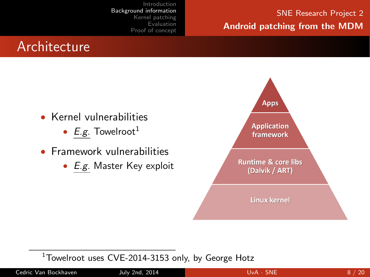#### SNE Research Project 2 Android patching from the MDM

### **Architecture**

- Kernel vulnerabilities
	- E.g. Towelroot<sup>1</sup>
- Framework vulnerabilities
	- E.g. Master Key exploit



 $1$ Towelroot uses CVE-2014-3153 only, by George Hotz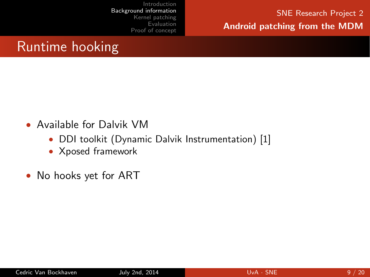SNE Research Project 2 Android patching from the MDM

### Runtime hooking

- Available for Dalvik VM
	- DDI toolkit (Dynamic Dalvik Instrumentation) [\[1\]](#page-17-1)
	- Xposed framework
- No hooks yet for ART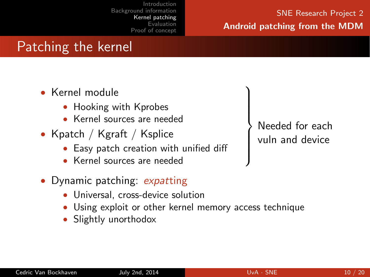#### SNE Research Project 2 Android patching from the MDM

### Patching the kernel

- Kernel module
	- Hooking with Kprobes
	- Kernel sources are needed
- Kpatch / Kgraft / Ksplice
	- Easy patch creation with unified diff
	- Kernel sources are needed
- Dynamic patching: expatting
	- Universal, cross-device solution
	- Using exploit or other kernel memory access technique
	- Slightly unorthodox

Needed for each vuln and device

 $\mathcal{L}$  $\left\lfloor$ 

<span id="page-9-0"></span> $\int$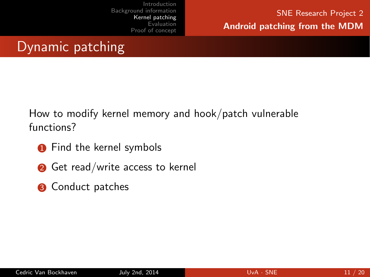### Dynamic patching

How to modify kernel memory and hook/patch vulnerable functions?

- **1** Find the kernel symbols
- **■** Get read/write access to kernel
- **3** Conduct patches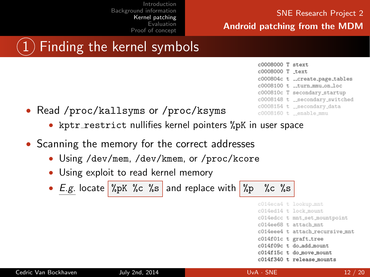#### SNE Research Project 2 Android patching from the MDM

## 1 Finding the kernel symbols

- Read /proc/kallsyms or /proc/ksyms
	- kptr\_restrict nullifies kernel pointers %pK in user space
- Scanning the memory for the correct addresses
	- Using /dev/mem, /dev/kmem, or /proc/kcore
	- Using exploit to read kernel memory
	- E.g. locate  $\sqrt[n]{pK}$  %c %s and replace with  $\sqrt[n]{p}$  %c %s

|  | c014eca4 t lookup_mnt           |
|--|---------------------------------|
|  | c014ed14 t lock mount           |
|  | c014edcc t mnt_set_mountpoint   |
|  | c014ee68 t attach mnt           |
|  | c014eee4 t attach recursive mnt |
|  | c014f01c t graft_tree           |
|  | c014f09c t do add mount         |
|  | c014f15c t do_move_mount        |
|  | c014f340 t release_mounts       |
|  |                                 |

 $c0008000$  T  $etav+$ c0008000 T text c000804c t \_\_create\_page\_tables c0008100 t \_\_turn\_mmu\_on\_loc c000810c T secondary\_startup c0008148 t secondary\_switched c0008154 t \_secondary\_data c0008160 t enable\_mmu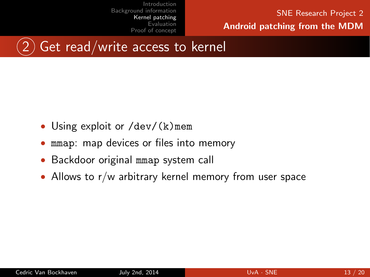SNE Research Project 2 Android patching from the MDM



- Using exploit or  $/$  dev/ $(k)$  mem
- mmap: map devices or files into memory
- Backdoor original mmap system call
- Allows to r/w arbitrary kernel memory from user space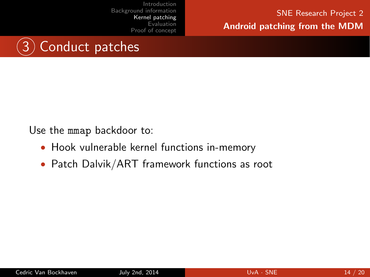SNE Research Project 2 Android patching from the MDM



Use the mmap backdoor to:

- Hook vulnerable kernel functions in-memory
- Patch Dalvik/ART framework functions as root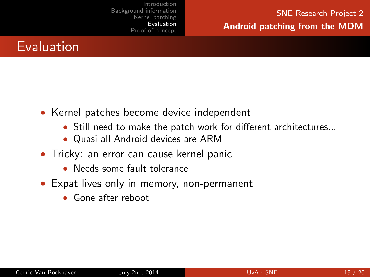### Evaluation

- Kernel patches become device independent
	- Still need to make the patch work for different architectures...
	- Quasi all Android devices are ARM
- Tricky: an error can cause kernel panic
	- Needs some fault tolerance
- <span id="page-14-0"></span>• Expat lives only in memory, non-permanent
	- Gone after reboot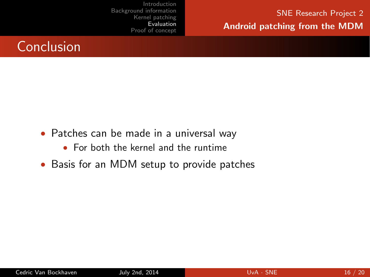SNE Research Project 2 Android patching from the MDM



- Patches can be made in a universal way
	- For both the kernel and the runtime
- Basis for an MDM setup to provide patches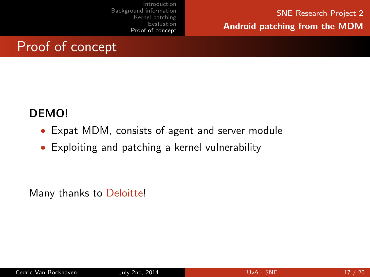<span id="page-16-0"></span>SNE Research Project 2 Android patching from the MDM

### Proof of concept

#### DEMO!

- Expat MDM, consists of agent and server module
- Exploiting and patching a kernel vulnerability

Many thanks to Deloitte!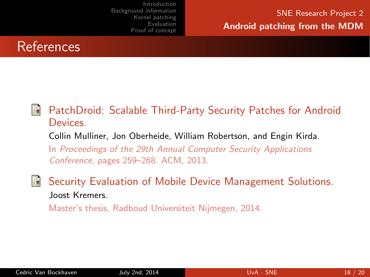

#### <span id="page-17-1"></span>F PatchDroid: Scalable Third-Party Security Patches for Android Devices.

Collin Mulliner, Jon Oberheide, William Robertson, and Engin Kirda.

In Proceedings of the 29th Annual Computer Security Applications Conference, pages 259–268. ACM, 2013.

Security Evaluation of Mobile Device Management Solutions. Joost Kremers.

Master's thesis, Radboud Universiteit Nijmegen, 2014.

<span id="page-17-0"></span>暈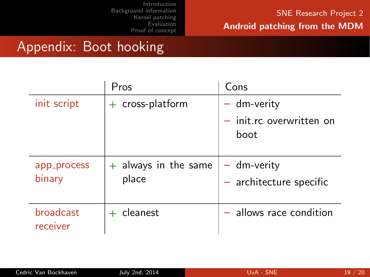#### SNE Research Project 2 Android patching from the MDM

### Appendix: Boot hooking

|                       | Pros                            | Cons                                                |
|-----------------------|---------------------------------|-----------------------------------------------------|
| init script           | $+$ cross-platform              | $-$ dm-verity<br>$-$ init.rc overwritten on<br>boot |
| app_process<br>binary | $+$ always in the same<br>place | $-$ dm-verity<br>$-$ architecture specific          |
| broadcast<br>receiver | cleanest                        | - allows race condition                             |